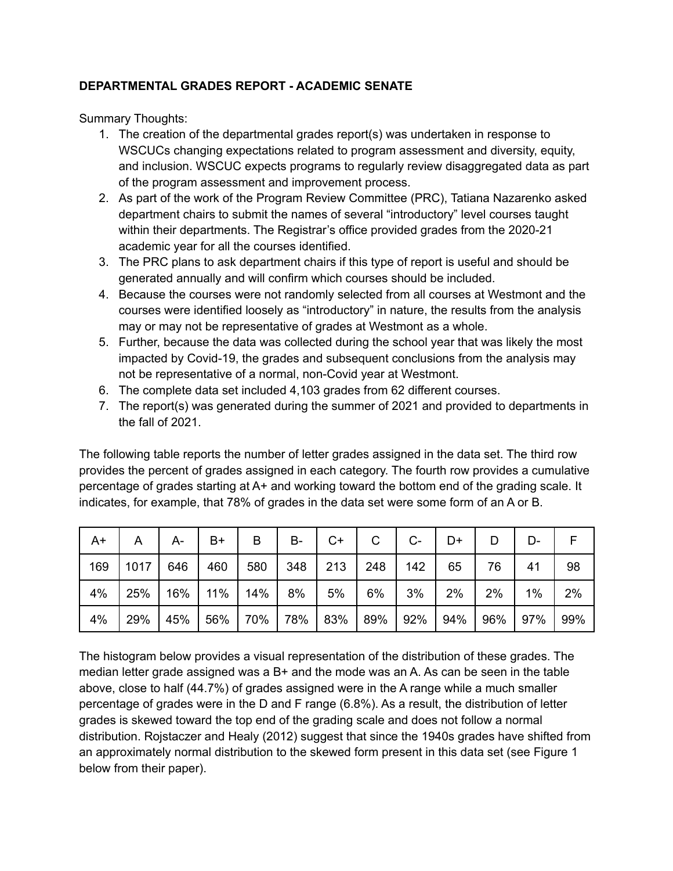## **DEPARTMENTAL GRADES REPORT - ACADEMIC SENATE**

Summary Thoughts:

- 1. The creation of the departmental grades report(s) was undertaken in response to WSCUCs changing expectations related to program assessment and diversity, equity, and inclusion. WSCUC expects programs to regularly review disaggregated data as part of the program assessment and improvement process.
- 2. As part of the work of the Program Review Committee (PRC), Tatiana Nazarenko asked department chairs to submit the names of several "introductory" level courses taught within their departments. The Registrar's office provided grades from the 2020-21 academic year for all the courses identified.
- 3. The PRC plans to ask department chairs if this type of report is useful and should be generated annually and will confirm which courses should be included.
- 4. Because the courses were not randomly selected from all courses at Westmont and the courses were identified loosely as "introductory" in nature, the results from the analysis may or may not be representative of grades at Westmont as a whole.
- 5. Further, because the data was collected during the school year that was likely the most impacted by Covid-19, the grades and subsequent conclusions from the analysis may not be representative of a normal, non-Covid year at Westmont.
- 6. The complete data set included 4,103 grades from 62 different courses.
- 7. The report(s) was generated during the summer of 2021 and provided to departments in the fall of 2021.

The following table reports the number of letter grades assigned in the data set. The third row provides the percent of grades assigned in each category. The fourth row provides a cumulative percentage of grades starting at A+ and working toward the bottom end of the grading scale. It indicates, for example, that 78% of grades in the data set were some form of an A or B.

| A+  | А    | A-  | B+  | B   | В-  | C+  | С   | $C-$ | D+  |     | D-    |     |
|-----|------|-----|-----|-----|-----|-----|-----|------|-----|-----|-------|-----|
| 169 | 1017 | 646 | 460 | 580 | 348 | 213 | 248 | 142  | 65  | 76  | 41    | 98  |
| 4%  | 25%  | 16% | 11% | 14% | 8%  | 5%  | 6%  | 3%   | 2%  | 2%  | $1\%$ | 2%  |
| 4%  | 29%  | 45% | 56% | 70% | 78% | 83% | 89% | 92%  | 94% | 96% | 97%   | 99% |

The histogram below provides a visual representation of the distribution of these grades. The median letter grade assigned was a  $B+$  and the mode was an A. As can be seen in the table above, close to half (44.7%) of grades assigned were in the A range while a much smaller percentage of grades were in the D and F range (6.8%). As a result, the distribution of letter grades is skewed toward the top end of the grading scale and does not follow a normal distribution. Rojstaczer and Healy (2012) suggest that since the 1940s grades have shifted from an approximately normal distribution to the skewed form present in this data set (see Figure 1 below from their paper).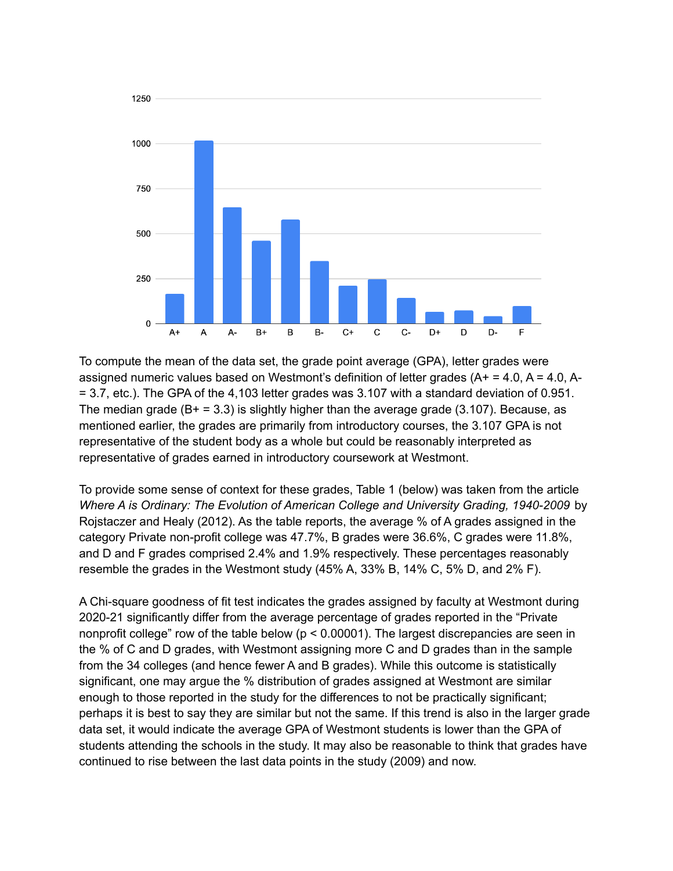

To compute the mean of the data set, the grade point average (GPA), letter grades were assigned numeric values based on Westmont's definition of letter grades  $(A<sup>+</sup> = 4.0, A = 4.0, A<sup>-</sup>$ = 3.7, etc.). The GPA of the 4,103 letter grades was 3.107 with a standard deviation of 0.951. The median grade  $(B + = 3.3)$  is slightly higher than the average grade (3.107). Because, as mentioned earlier, the grades are primarily from introductory courses, the 3.107 GPA is not representative of the student body as a whole but could be reasonably interpreted as representative of grades earned in introductory coursework at Westmont.

To provide some sense of context for these grades, Table 1 (below) was taken from the article *Where A is Ordinary: The Evolution of American College and University Grading, 1940-2009* by Rojstaczer and Healy (2012). As the table reports, the average % of A grades assigned in the category Private non-profit college was 47.7%, B grades were 36.6%, C grades were 11.8%, and D and F grades comprised 2.4% and 1.9% respectively. These percentages reasonably resemble the grades in the Westmont study (45% A, 33% B, 14% C, 5% D, and 2% F).

A Chi-square goodness of fit test indicates the grades assigned by faculty at Westmont during 2020-21 significantly differ from the average percentage of grades reported in the "Private nonprofit college" row of the table below (p < 0.00001). The largest discrepancies are seen in the % of C and D grades, with Westmont assigning more C and D grades than in the sample from the 34 colleges (and hence fewer A and B grades). While this outcome is statistically significant, one may argue the % distribution of grades assigned at Westmont are similar enough to those reported in the study for the differences to not be practically significant; perhaps it is best to say they are similar but not the same. If this trend is also in the larger grade data set, it would indicate the average GPA of Westmont students is lower than the GPA of students attending the schools in the study. It may also be reasonable to think that grades have continued to rise between the last data points in the study (2009) and now.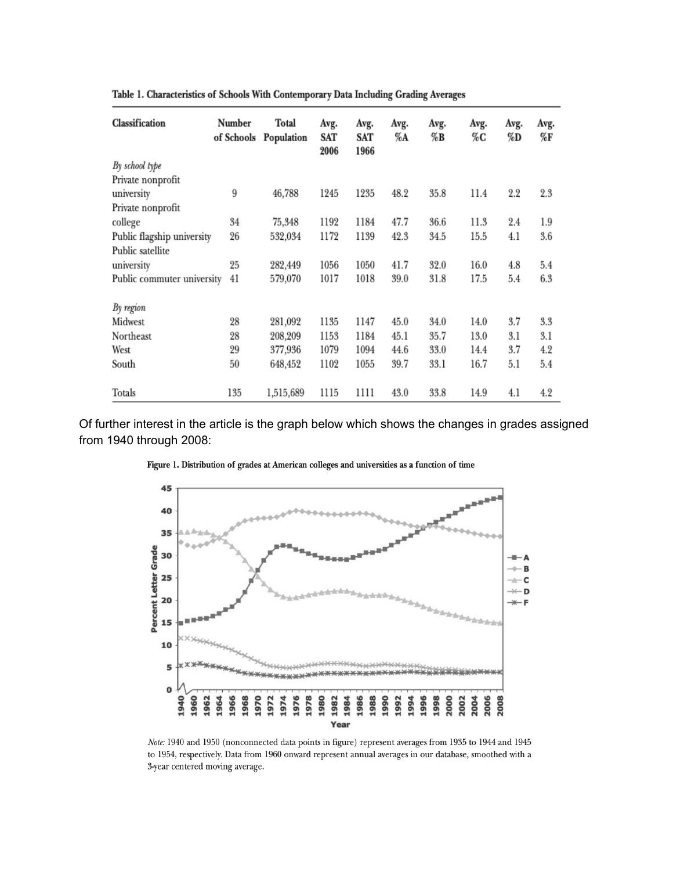| Classification             | Number<br>of Schools | Total<br>Population | Avg.<br>SAT<br>2006 | Avg.<br>SAT<br>1966 | Avg.<br>%A | Avg.<br>%B | Avg.<br>%C | Avg.<br>%D | Avg.<br>%F |
|----------------------------|----------------------|---------------------|---------------------|---------------------|------------|------------|------------|------------|------------|
| By school type             |                      |                     |                     |                     |            |            |            |            |            |
| Private nonprofit          |                      |                     |                     |                     |            |            |            |            |            |
| university                 | 9                    | 46,788              | 1245                | 1235                | 48.2       | 35.8       | 11.4       | 2.2        | 2.3        |
| Private nonprofit          |                      |                     |                     |                     |            |            |            |            |            |
| college                    | 34                   | 75,348              | 1192                | 1184                | 47.7       | 36.6       | 11.3       | 2.4        | 1.9        |
| Public flagship university | 26                   | 532.034             | 1172                | 1139                | 42.3       | 34.5       | 15.5       | 4.1        | 3.6        |
| Public satellite           |                      |                     |                     |                     |            |            |            |            |            |
| university                 | 25                   | 282,449             | 1056                | 1050                | 41.7       | 32.0       | 16.0       | 4.8        | 5.4        |
| Public commuter university | 41                   | 579,070             | 1017                | 1018                | 39.0       | 31.8       | 17.5       | 5.4        | 6.3        |
| By region                  |                      |                     |                     |                     |            |            |            |            |            |
| Midwest                    | 28                   | 281,092             | 1135                | 1147                | 45.0       | 34.0       | 14.0       | 3.7        | 3.3        |
| Northeast                  | 28                   | 208,209             | 1153                | 1184                | 45.1       | 35.7       | 13.0       | 3.1        | 3.1        |
| West                       | 29                   | 377,936             | 1079                | 1094                | 44.6       | 33.0       | 14.4       | 3.7        | 4.2        |
| South                      | 50                   | 648,452             | 1102                | 1055                | 39.7       | 33.1       | 16.7       | 5.1        | 5.4        |
| Totals                     | 135                  | 1,515,689           | 1115                | 1111                | 43.0       | 33.8       | 14.9       | 4.1        | 4.2        |

Table 1. Characteristics of Schools With Contemporary Data Including Grading Averages

Of further interest in the article is the graph below which shows the changes in grades assigned from 1940 through 2008:



Figure 1. Distribution of grades at American colleges and universities as a function of time

Note: 1940 and 1950 (nonconnected data points in figure) represent averages from 1935 to 1944 and 1945 to 1954, respectively. Data from 1960 onward represent annual averages in our database, smoothed with a 3-year centered moving average.